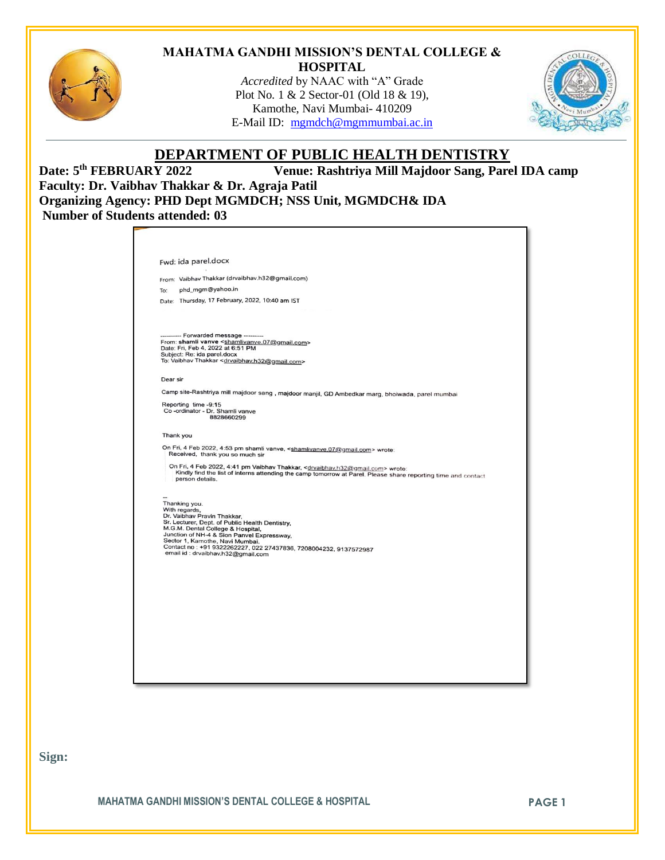

### **MAHATMA GANDHI MISSION'S DENTAL COLLEGE & HOSPITAL**

*Accredited* by NAAC with "A" Grade Plot No. 1 & 2 Sector-01 (Old 18 & 19), Kamothe, Navi Mumbai- 410209 E-Mail ID: [mgmdch@mgmmumbai.ac.in](mailto:mgmdch@mgmmumbai.ac.in)



# **DEPARTMENT OF PUBLIC HEALTH DENTISTRY**

Date: 5<sup>th</sup> FEBRUARY 2022 **Venue: Rashtriya Mill Majdoor Sang, Parel IDA camp Faculty: Dr. Vaibhav Thakkar & Dr. Agraja Patil Organizing Agency: PHD Dept MGMDCH; NSS Unit, MGMDCH& IDA Number of Students attended: 03**

|           | Fwd: ida parel.docx                                                                                                                                                                                                                           |
|-----------|-----------------------------------------------------------------------------------------------------------------------------------------------------------------------------------------------------------------------------------------------|
|           |                                                                                                                                                                                                                                               |
|           | From: Vaibhav Thakkar (drvaibhav.h32@gmail.com)                                                                                                                                                                                               |
| To:       | phd_mgm@yahoo.in                                                                                                                                                                                                                              |
|           | Date: Thursday, 17 February, 2022, 10:40 am IST                                                                                                                                                                                               |
|           |                                                                                                                                                                                                                                               |
|           |                                                                                                                                                                                                                                               |
|           | ---------- Forwarded message ---------                                                                                                                                                                                                        |
|           | From: shamli vanve <shamlivanve.07@gmail.com><br/>Date: Fri, Feb 4, 2022 at 6:51 PM</shamlivanve.07@gmail.com>                                                                                                                                |
|           | Subject: Re: ida parel.docx                                                                                                                                                                                                                   |
|           | To: Vaibhav Thakkar < drvaibhav.h32@gmail.com>                                                                                                                                                                                                |
| Dear sir  |                                                                                                                                                                                                                                               |
|           | Camp site-Rashtriya mill majdoor sang, majdoor manjil, GD Ambedkar marg, bhoiwada, parel mumbai                                                                                                                                               |
|           | Reporting time -9:15                                                                                                                                                                                                                          |
|           | Co -ordinator - Dr. Shamli vanve                                                                                                                                                                                                              |
|           | 8828660299                                                                                                                                                                                                                                    |
| Thank you |                                                                                                                                                                                                                                               |
|           | On Fri, 4 Feb 2022, 4:53 pm shamli vanve, <shamlivanve, 07@gmail.com=""> wrote:<br/>Received, thank you so much sir</shamlivanve,>                                                                                                            |
|           | On Fri, 4 Feb 2022, 4:41 pm Vaibhav Thakkar, <drvaibhav.h32@gmail.com> wrote:<br/>Kindly find the list of interns attending the camp tomorrow at Parel. Please share reporting time and contact<br/>person details.</drvaibhav.h32@gmail.com> |
|           |                                                                                                                                                                                                                                               |
|           | Thanking you.                                                                                                                                                                                                                                 |
|           | With regards,<br>Dr. Vaibhav Pravin Thakkar,                                                                                                                                                                                                  |
|           | Sr. Lecturer, Dept. of Public Health Dentistry.                                                                                                                                                                                               |
|           | M.G.M. Dental College & Hospital,<br>Junction of NH-4 & Sion Panvel Expressway,                                                                                                                                                               |
|           | Sector 1, Kamothe, Navi Mumbai.                                                                                                                                                                                                               |
|           | Contact no: +91 9322262227, 022 27437836, 7208004232, 9137572987<br>email id: drvaibhav.h32@gmail.com                                                                                                                                         |
|           |                                                                                                                                                                                                                                               |
|           |                                                                                                                                                                                                                                               |
|           |                                                                                                                                                                                                                                               |
|           |                                                                                                                                                                                                                                               |
|           |                                                                                                                                                                                                                                               |
|           |                                                                                                                                                                                                                                               |
|           |                                                                                                                                                                                                                                               |
|           |                                                                                                                                                                                                                                               |
|           |                                                                                                                                                                                                                                               |

**Sign:**

**MAHATMA GANDHI MISSION'S DENTAL COLLEGE & HOSPITAL PAGE 1**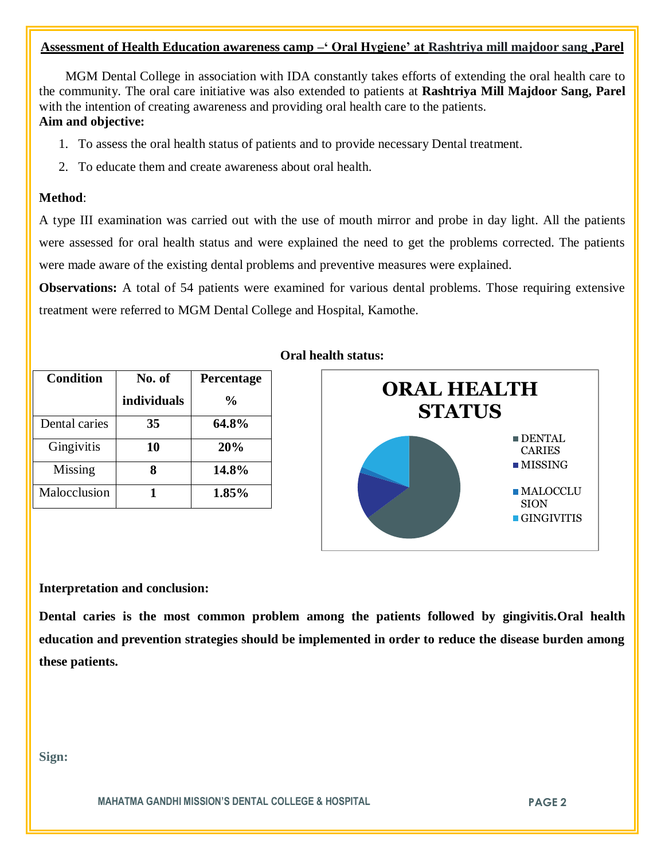# **Assessment of Health Education awareness camp –' Oral Hygiene' at Rashtriya mill majdoor sang ,Parel**

 MGM Dental College in association with IDA constantly takes efforts of extending the oral health care to the community. The oral care initiative was also extended to patients at **Rashtriya Mill Majdoor Sang, Parel** with the intention of creating awareness and providing oral health care to the patients. **Aim and objective:** 

- 1. To assess the oral health status of patients and to provide necessary Dental treatment.
- 2. To educate them and create awareness about oral health.

# **Method**:

A type III examination was carried out with the use of mouth mirror and probe in day light. All the patients were assessed for oral health status and were explained the need to get the problems corrected. The patients were made aware of the existing dental problems and preventive measures were explained.

**Observations:** A total of 54 patients were examined for various dental problems. Those requiring extensive treatment were referred to MGM Dental College and Hospital, Kamothe.

| <b>Condition</b> | No. of      | Percentage     |
|------------------|-------------|----------------|
|                  | individuals | $\frac{6}{10}$ |
| Dental caries    | 35          | 64.8%          |
| Gingivitis       | 10          | 20%            |
| Missing          |             | 14.8%          |
| Malocclusion     |             | 1.85%          |

# **Oral health status:**



## **Interpretation and conclusion:**

**Dental caries is the most common problem among the patients followed by gingivitis.Oral health education and prevention strategies should be implemented in order to reduce the disease burden among these patients.**

**Sign:**

**MAHATMA GANDHI MISSION'S DENTAL COLLEGE & HOSPITAL PAGE 2**